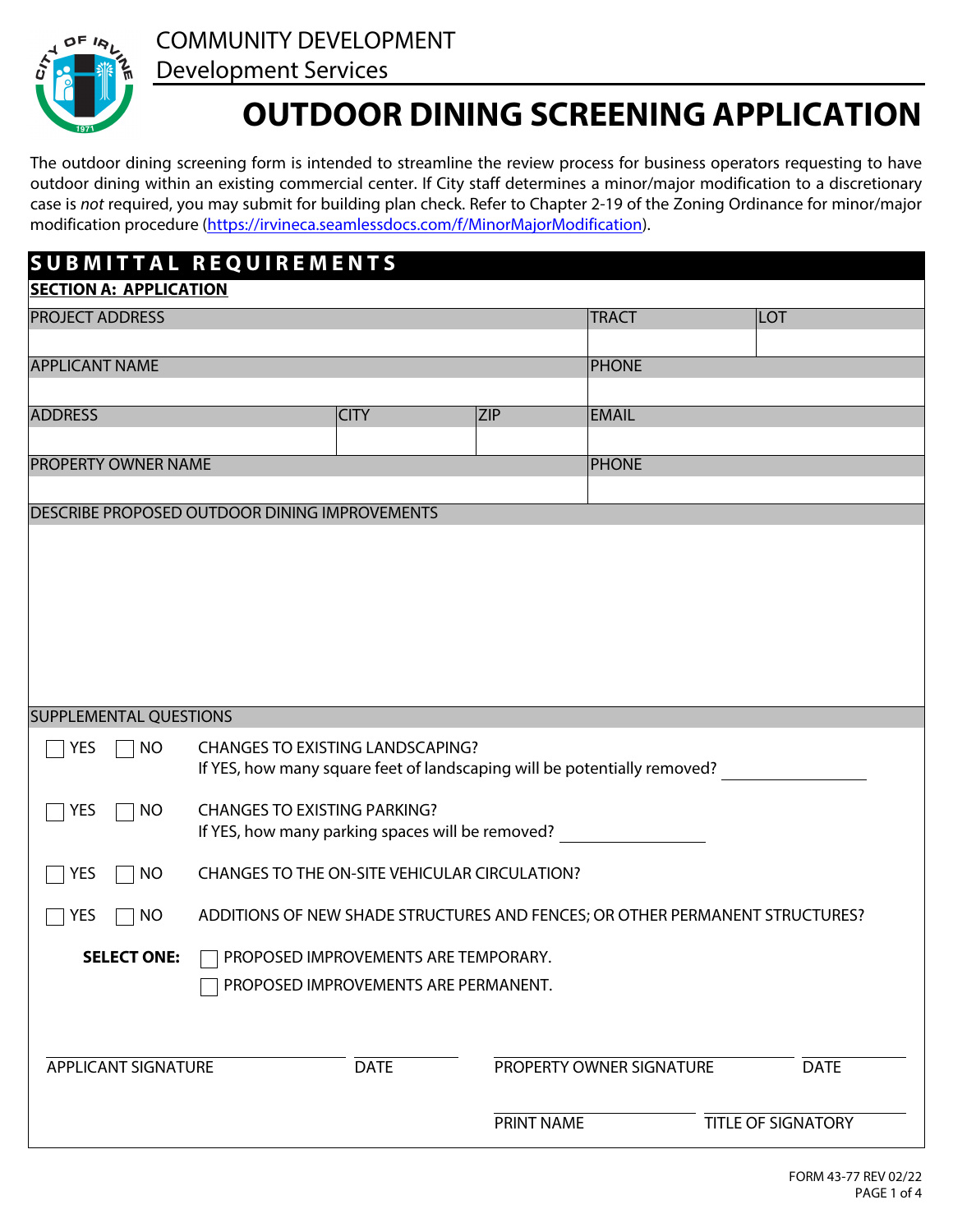

COMMUNITY DEVELOPMENT

## Development Services

# **OUTDOOR DINING SCREENING APPLICATION**

The outdoor dining screening form is intended to streamline the review process for business operators requesting to have outdoor dining within an existing commercial center. If City staff determines a minor/major modification to a discretionary case is *not* required, you may submit for building plan check. Refer to Chapter 2-19 of the Zoning Ordinance for minor/major modification procedure [\(https://irvineca.seamlessdocs.com/f/MinorMajorModification\)](https://irvineca.seamlessdocs.\hich\af39\dbch\af39\loch\f39 com/f/MinorMajorModification).

| SUBMITTAL REQUIREMENTS                                                                                             |                                                                              |                                         |                            |                          |                           |                         |
|--------------------------------------------------------------------------------------------------------------------|------------------------------------------------------------------------------|-----------------------------------------|----------------------------|--------------------------|---------------------------|-------------------------|
| <b>SECTION A: APPLICATION</b>                                                                                      |                                                                              |                                         |                            |                          |                           |                         |
| <b>PROJECT ADDRESS</b>                                                                                             |                                                                              |                                         |                            | <b>TRACT</b>             | LOT                       |                         |
|                                                                                                                    |                                                                              |                                         |                            |                          |                           |                         |
| <b>APPLICANT NAME</b>                                                                                              |                                                                              |                                         |                            | <b>PHONE</b>             |                           |                         |
| <b>ADDRESS</b>                                                                                                     |                                                                              |                                         | <b>EMAIL</b><br><b>ZIP</b> |                          |                           |                         |
|                                                                                                                    |                                                                              | <b>CITY</b>                             |                            |                          |                           |                         |
| <b>PROPERTY OWNER NAME</b>                                                                                         |                                                                              |                                         |                            | <b>PHONE</b>             |                           |                         |
|                                                                                                                    |                                                                              |                                         |                            |                          |                           |                         |
| DESCRIBE PROPOSED OUTDOOR DINING IMPROVEMENTS                                                                      |                                                                              |                                         |                            |                          |                           |                         |
|                                                                                                                    |                                                                              |                                         |                            |                          |                           |                         |
|                                                                                                                    |                                                                              |                                         |                            |                          |                           |                         |
|                                                                                                                    |                                                                              |                                         |                            |                          |                           |                         |
|                                                                                                                    |                                                                              |                                         |                            |                          |                           |                         |
|                                                                                                                    |                                                                              |                                         |                            |                          |                           |                         |
|                                                                                                                    |                                                                              |                                         |                            |                          |                           |                         |
|                                                                                                                    |                                                                              |                                         |                            |                          |                           |                         |
| <b>SUPPLEMENTAL QUESTIONS</b>                                                                                      |                                                                              |                                         |                            |                          |                           |                         |
| <b>YES</b><br><b>NO</b>                                                                                            |                                                                              | <b>CHANGES TO EXISTING LANDSCAPING?</b> |                            |                          |                           |                         |
|                                                                                                                    | If YES, how many square feet of landscaping will be potentially removed?     |                                         |                            |                          |                           |                         |
|                                                                                                                    |                                                                              |                                         |                            |                          |                           |                         |
| <b>YES</b><br><b>CHANGES TO EXISTING PARKING?</b><br><b>NO</b><br>If YES, how many parking spaces will be removed? |                                                                              |                                         |                            |                          |                           |                         |
|                                                                                                                    |                                                                              |                                         |                            |                          |                           | <b>YES</b><br><b>NO</b> |
|                                                                                                                    | ADDITIONS OF NEW SHADE STRUCTURES AND FENCES; OR OTHER PERMANENT STRUCTURES? |                                         |                            |                          |                           |                         |
| <b>YES</b><br>NO                                                                                                   |                                                                              |                                         |                            |                          |                           |                         |
| <b>SELECT ONE:</b><br>PROPOSED IMPROVEMENTS ARE TEMPORARY.                                                         |                                                                              |                                         |                            |                          |                           |                         |
| PROPOSED IMPROVEMENTS ARE PERMANENT.                                                                               |                                                                              |                                         |                            |                          |                           |                         |
|                                                                                                                    |                                                                              |                                         |                            |                          |                           |                         |
|                                                                                                                    |                                                                              |                                         |                            |                          |                           |                         |
| <b>APPLICANT SIGNATURE</b>                                                                                         |                                                                              | <b>DATE</b>                             |                            | PROPERTY OWNER SIGNATURE | <b>DATE</b>               |                         |
|                                                                                                                    |                                                                              |                                         |                            |                          |                           |                         |
|                                                                                                                    |                                                                              |                                         | PRINT NAME                 |                          | <b>TITLE OF SIGNATORY</b> |                         |
|                                                                                                                    |                                                                              |                                         |                            |                          |                           |                         |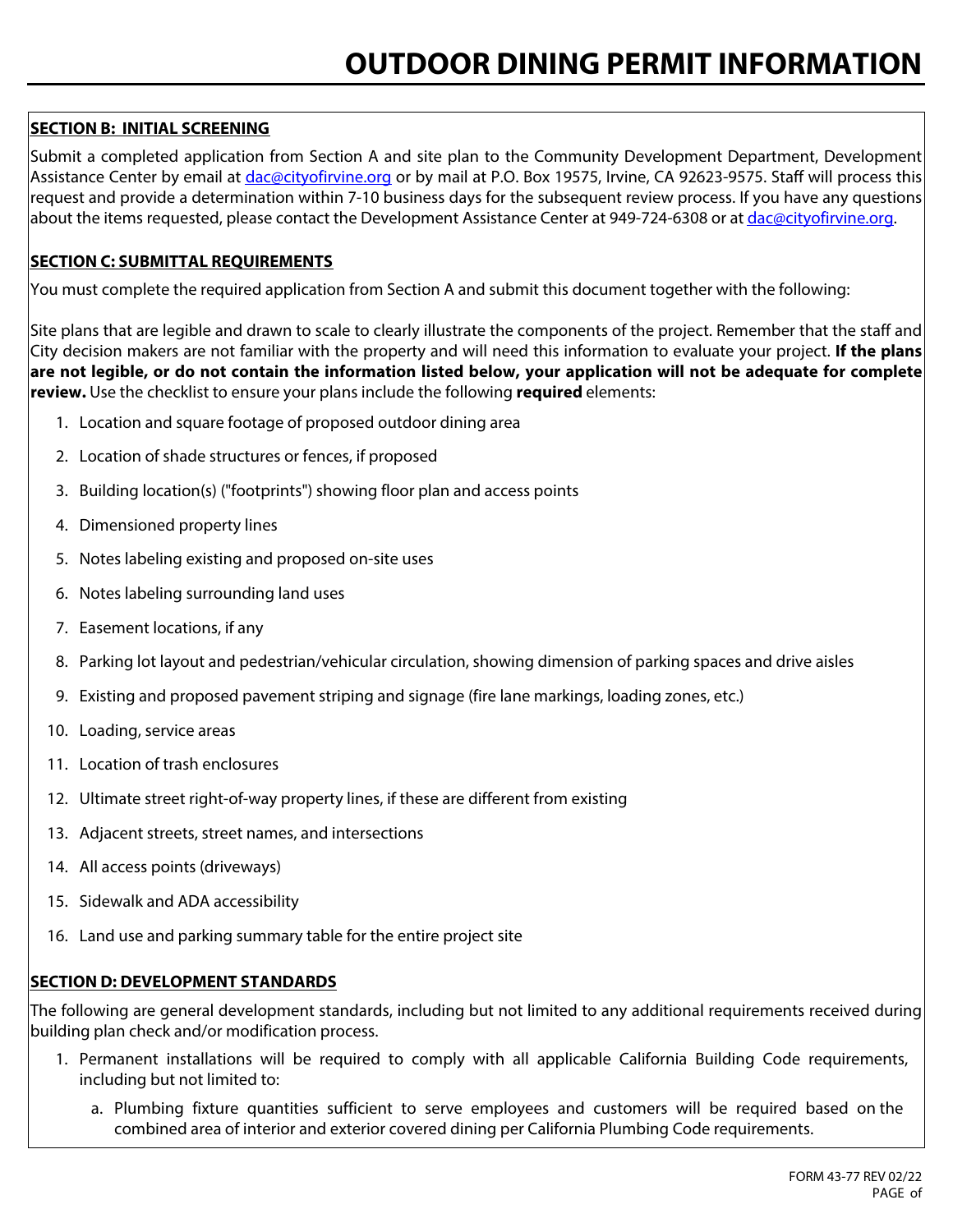### **SECTION B: INITIAL SCREENING**

Submit a completed application from Section A and site plan to the Community Development Department, Development Assistance Center by email at [dac@cityofirvine.org](mailto:dac@cityofirvine.org) or by mail at P.O. Box 19575, Irvine, CA 92623-9575. Staff will process this request and provide a determination within 7-10 business days for the subsequent review process. If you have any questions about the items requested, please contact the Development Assistance Center at 949-724-6308 or at [dac@cityofirvine.org](mailto:dac@cityofirvine.org).

#### **SECTION C: SUBMITTAL REQUIREMENTS**

You must complete the required application from Section A and submit this document together with the following:

Site plans that are legible and drawn to scale to clearly illustrate the components of the project. Remember that the staff and City decision makers are not familiar with the property and will need this information to evaluate your project. **If the plans are not legible, or do not contain the information listed below, your application will not be adequate for complete review.** Use the checklist to ensure your plans include the following **required** elements:

- 1. Location and square footage of proposed outdoor dining area
- 2. Location of shade structures or fences, if proposed
- 3. Building location(s) ("footprints") showing floor plan and access points
- 4. Dimensioned property lines
- 5. Notes labeling existing and proposed on-site uses
- 6. Notes labeling surrounding land uses
- 7. Easement locations, if any
- 8. Parking lot layout and pedestrian/vehicular circulation, showing dimension of parking spaces and drive aisles
- 9. Existing and proposed pavement striping and signage (fire lane markings, loading zones, etc.)
- 10. Loading, service areas
- 11. Location of trash enclosures
- 12. Ultimate street right-of-way property lines, if these are different from existing
- 13. Adjacent streets, street names, and intersections
- 14. All access points (driveways)
- 15. Sidewalk and ADA accessibility
- 16. Land use and parking summary table for the entire project site

#### **SECTION D: DEVELOPMENT STANDARDS**

The following are general development standards, including but not limited to any additional requirements received during building plan check and/or modification process.

- 1. Permanent installations will be required to comply with all applicable California Building Code requirements, including but not limited to:
	- a. Plumbing fixture quantities sufficient to serve employees and customers will be required based on the combined area of interior and exterior covered dining per California Plumbing Code requirements.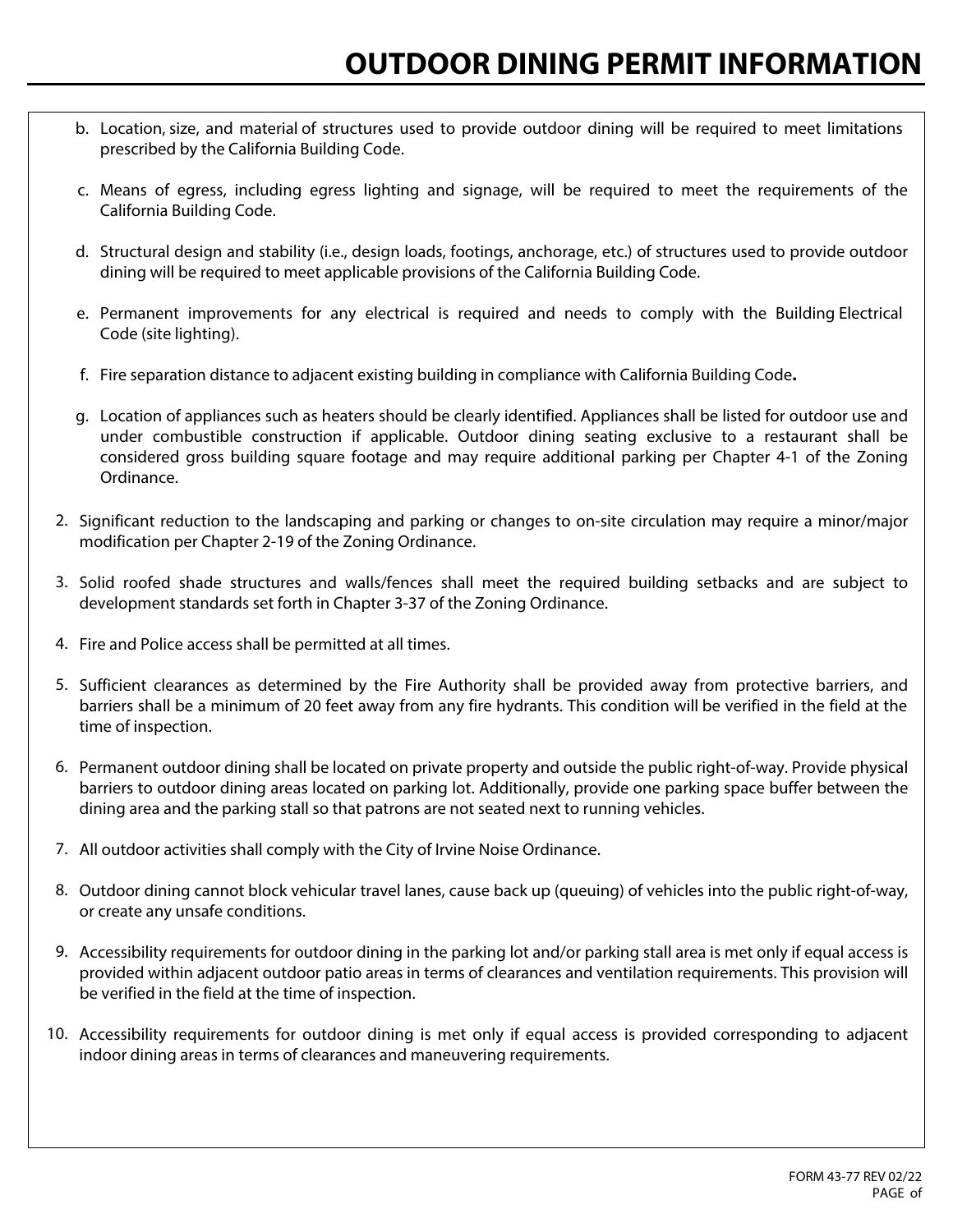- b. Location, size, and material of structures used to provide outdoor dining will be required to meet limitations prescribed by the California Building Code.
- c. Means of egress, including egress lighting and signage, will be required to meet the requirements of the California Building Code.
- d. Structural design and stability (i.e., design loads, footings, anchorage, etc.) of structures used to provide outdoor dining will be required to meet applicable provisions of the California Building Code.
- e. Permanent improvements for any electrical is required and needs to comply with the Building Electrical Code (site lighting).
- f. Fire separation distance to adjacent existing building in compliance with California Building Code**.**
- g. Location of appliances such as heaters should be clearly identified. Appliances shall be listed for outdoor use and under combustible construction if applicable. Outdoor dining seating exclusive to a restaurant shall be considered gross building square footage and may require additional parking per Chapter 4-1 of the Zoning Ordinance.
- 2. Significant reduction to the landscaping and parking or changes to on-site circulation may require a minor/major modification per Chapter 2-19 of the Zoning Ordinance.
- 3. Solid roofed shade structures and walls/fences shall meet the required building setbacks and are subject to development standards set forth in Chapter 3-37 of the Zoning Ordinance.
- 4. Fire and Police access shall be permitted at all times.
- 5. Sufficient clearances as determined by the Fire Authority shall be provided away from protective barriers, and barriers shall be a minimum of 20 feet away from any fire hydrants. This condition will be verified in the field at the time of inspection.
- 6. Permanent outdoor dining shall be located on private property and outside the public right-of-way. Provide physical barriers to outdoor dining areas located on parking lot. Additionally, provide one parking space buffer between the dining area and the parking stall so that patrons are not seated next to running vehicles.
- 7. All outdoor activities shall comply with the City of Irvine Noise Ordinance.
- 8. Outdoor dining cannot block vehicular travel lanes, cause back up (queuing) of vehicles into the public right‐of‐way, or create any unsafe conditions.
- 9. Accessibility requirements for outdoor dining in the parking lot and/or parking stall area is met only if equal access is provided within adjacent outdoor patio areas in terms of clearances and ventilation requirements. This provision will be verified in the field at the time of inspection.
- 10. Accessibility requirements for outdoor dining is met only if equal access is provided corresponding to adjacent indoor dining areas in terms of clearances and maneuvering requirements.